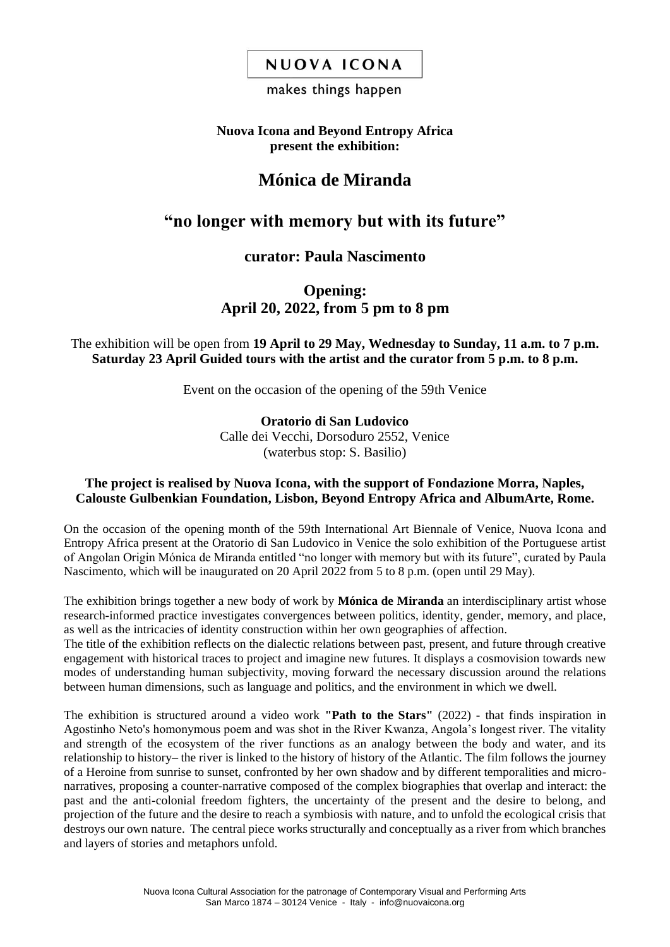## NUOVA ICONA

### makes things happen

### **Nuova Icona and Beyond Entropy Africa present the exhibition:**

# **Mónica de Miranda**

# **"no longer with memory but with its future"**

## **curator: Paula Nascimento**

## **Opening: April 20, 2022, from 5 pm to 8 pm**

### The exhibition will be open from **19 April to 29 May, Wednesday to Sunday, 11 a.m. to 7 p.m. Saturday 23 April Guided tours with the artist and the curator from 5 p.m. to 8 p.m.**

Event on the occasion of the opening of the 59th Venice

**Oratorio di San Ludovico** Calle dei Vecchi, Dorsoduro 2552, Venice (waterbus stop: S. Basilio)

### **The project is realised by Nuova Icona, with the support of Fondazione Morra, Naples, Calouste Gulbenkian Foundation, Lisbon, Beyond Entropy Africa and AlbumArte, Rome.**

On the occasion of the opening month of the 59th International Art Biennale of Venice, Nuova Icona and Entropy Africa present at the Oratorio di San Ludovico in Venice the solo exhibition of the Portuguese artist of Angolan Origin Mónica de Miranda entitled "no longer with memory but with its future", curated by Paula Nascimento, which will be inaugurated on 20 April 2022 from 5 to 8 p.m. (open until 29 May).

The exhibition brings together a new body of work by **Mónica de Miranda** an interdisciplinary artist whose research-informed practice investigates convergences between politics, identity, gender, memory, and place, as well as the intricacies of identity construction within her own geographies of affection.

The title of the exhibition reflects on the dialectic relations between past, present, and future through creative engagement with historical traces to project and imagine new futures. It displays a cosmovision towards new modes of understanding human subjectivity, moving forward the necessary discussion around the relations between human dimensions, such as language and politics, and the environment in which we dwell.

The exhibition is structured around a video work **"Path to the Stars"** (2022) - that finds inspiration in Agostinho Neto's homonymous poem and was shot in the River Kwanza, Angola's longest river. The vitality and strength of the ecosystem of the river functions as an analogy between the body and water, and its relationship to history– the river is linked to the history of history of the Atlantic. The film follows the journey of a Heroine from sunrise to sunset, confronted by her own shadow and by different temporalities and micronarratives, proposing a counter-narrative composed of the complex biographies that overlap and interact: the past and the anti-colonial freedom fighters, the uncertainty of the present and the desire to belong, and projection of the future and the desire to reach a symbiosis with nature, and to unfold the ecological crisis that destroys our own nature. The central piece works structurally and conceptually as a river from which branches and layers of stories and metaphors unfold.